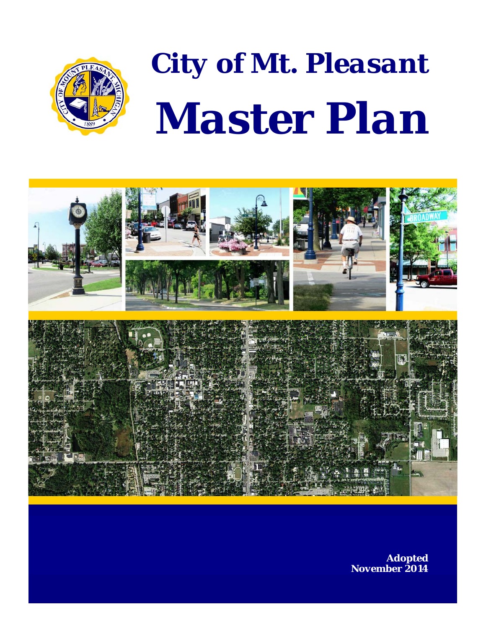

# *City of Mt. Pleasant Master Plan*



 *Adopted November 2014*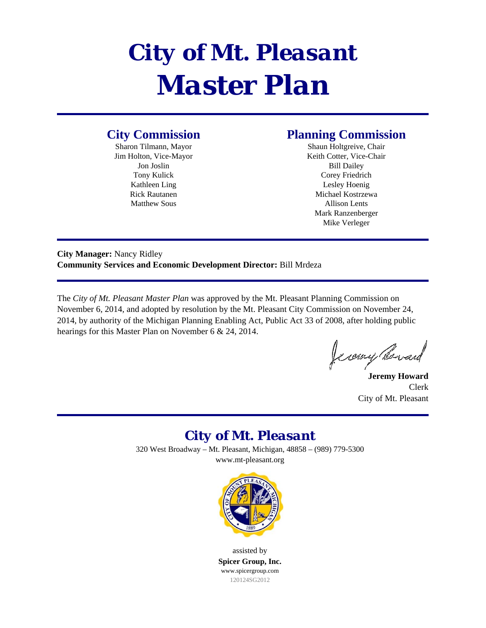# *City of Mt. Pleasant Master Plan*

#### **City Commission**

Sharon Tilmann, Mayor Jim Holton, Vice-Mayor Jon Joslin Tony Kulick Kathleen Ling Rick Rautanen Matthew Sous

#### **Planning Commission**

Shaun Holtgreive, Chair Keith Cotter, Vice-Chair Bill Dailey Corey Friedrich Lesley Hoenig Michael Kostrzewa Allison Lents Mark Ranzenberger Mike Verleger

**City Manager:** Nancy Ridley **Community Services and Economic Development Director:** Bill Mrdeza

The *City of Mt. Pleasant Master Plan* was approved by the Mt. Pleasant Planning Commission on November 6, 2014, and adopted by resolution by the Mt. Pleasant City Commission on November 24, 2014, by authority of the Michigan Planning Enabling Act, Public Act 33 of 2008, after holding public hearings for this Master Plan on November 6 & 24, 2014.

Je ceny Borard

**Jeremy Howard**  Clerk City of Mt. Pleasant

#### *City of Mt. Pleasant*

320 West Broadway – Mt. Pleasant, Michigan, 48858 – (989) 779-5300 www.mt-pleasant.org



assisted by **Spicer Group, Inc.**  www.spicergroup.com 120124SG2012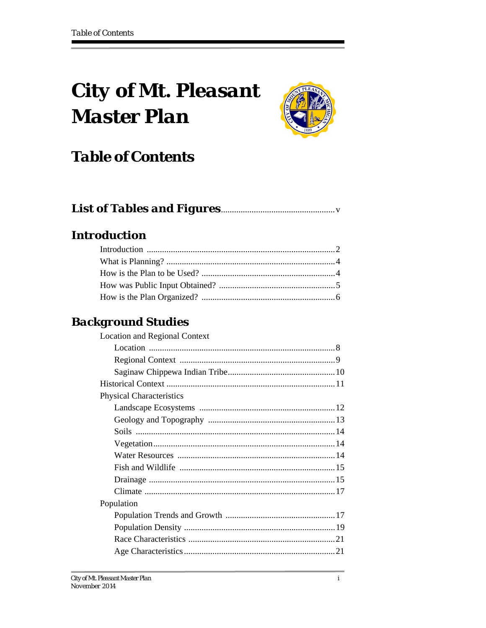# **City of Mt. Pleasant Master Plan**



### **Table of Contents**

|--|--|

#### **Introduction**

#### **Background Studies**

| <b>Location and Regional Context</b> |  |
|--------------------------------------|--|
|                                      |  |
|                                      |  |
|                                      |  |
|                                      |  |
| <b>Physical Characteristics</b>      |  |
|                                      |  |
|                                      |  |
|                                      |  |
|                                      |  |
|                                      |  |
|                                      |  |
|                                      |  |
|                                      |  |
| Population                           |  |
|                                      |  |
|                                      |  |
|                                      |  |
|                                      |  |
|                                      |  |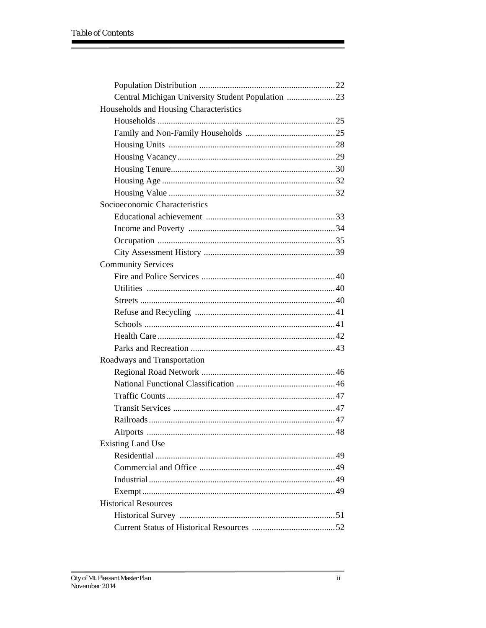| Central Michigan University Student Population 23 |  |
|---------------------------------------------------|--|
| Households and Housing Characteristics            |  |
|                                                   |  |
|                                                   |  |
|                                                   |  |
|                                                   |  |
|                                                   |  |
|                                                   |  |
|                                                   |  |
| Socioeconomic Characteristics                     |  |
|                                                   |  |
|                                                   |  |
|                                                   |  |
|                                                   |  |
| <b>Community Services</b>                         |  |
|                                                   |  |
|                                                   |  |
|                                                   |  |
|                                                   |  |
|                                                   |  |
|                                                   |  |
|                                                   |  |
| Roadways and Transportation                       |  |
|                                                   |  |
|                                                   |  |
|                                                   |  |
|                                                   |  |
|                                                   |  |
| Airports                                          |  |
| <b>Existing Land Use</b>                          |  |
|                                                   |  |
|                                                   |  |
|                                                   |  |
|                                                   |  |
| <b>Historical Resources</b>                       |  |
|                                                   |  |
|                                                   |  |

the control of the control of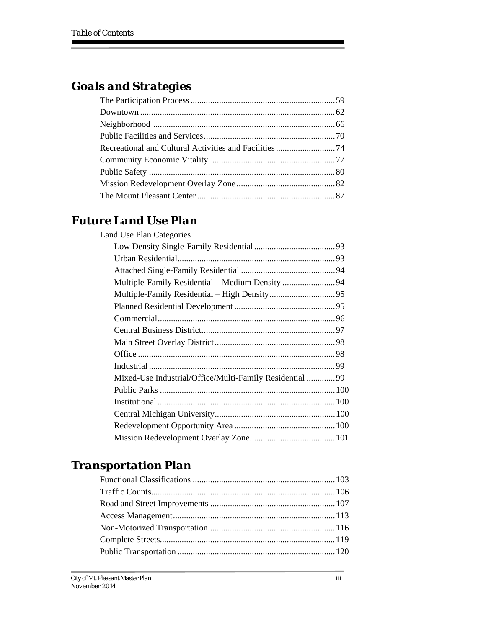Е

#### *Goals and Strategies*

#### *Future Land Use Plan*

| <b>Land Use Plan Categories</b>                          |  |
|----------------------------------------------------------|--|
|                                                          |  |
|                                                          |  |
|                                                          |  |
|                                                          |  |
|                                                          |  |
|                                                          |  |
|                                                          |  |
|                                                          |  |
|                                                          |  |
|                                                          |  |
|                                                          |  |
| Mixed-Use Industrial/Office/Multi-Family Residential  99 |  |
|                                                          |  |
|                                                          |  |
|                                                          |  |
|                                                          |  |
|                                                          |  |
|                                                          |  |

#### *Transportation Plan*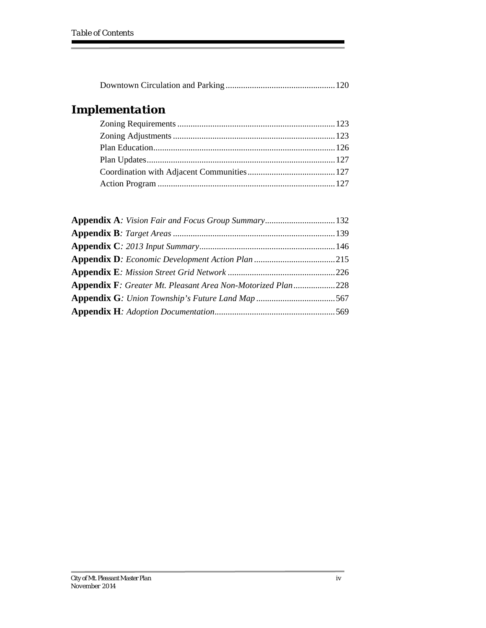Е

#### *Implementation*

| Appendix A: Vision Fair and Focus Group Summary 132          |  |
|--------------------------------------------------------------|--|
|                                                              |  |
|                                                              |  |
|                                                              |  |
|                                                              |  |
| Appendix F: Greater Mt. Pleasant Area Non-Motorized Plan 228 |  |
|                                                              |  |
|                                                              |  |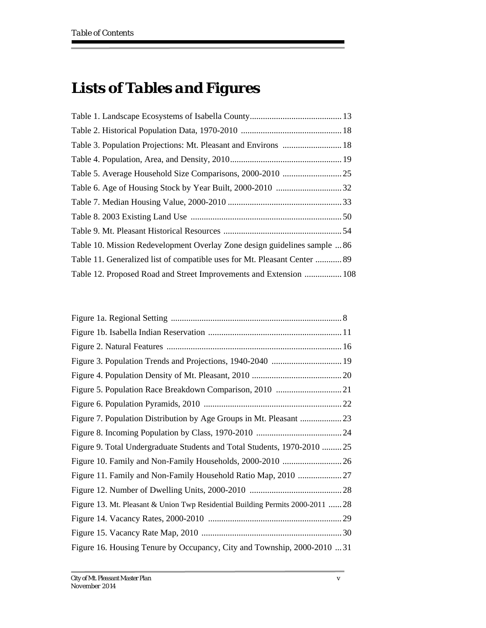## *Lists of Tables and Figures*

| Table 10. Mission Redevelopment Overlay Zone design guidelines sample  86 |  |
|---------------------------------------------------------------------------|--|
| Table 11. Generalized list of compatible uses for Mt. Pleasant Center  89 |  |
| Table 12. Proposed Road and Street Improvements and Extension  108        |  |

| Figure 3. Population Trends and Projections, 1940-2040  19                     |  |
|--------------------------------------------------------------------------------|--|
|                                                                                |  |
|                                                                                |  |
|                                                                                |  |
|                                                                                |  |
|                                                                                |  |
| Figure 9. Total Undergraduate Students and Total Students, 1970-2010  25       |  |
|                                                                                |  |
|                                                                                |  |
|                                                                                |  |
| Figure 13. Mt. Pleasant & Union Twp Residential Building Permits 2000-2011  28 |  |
|                                                                                |  |
|                                                                                |  |
| Figure 16. Housing Tenure by Occupancy, City and Township, 2000-2010  31       |  |